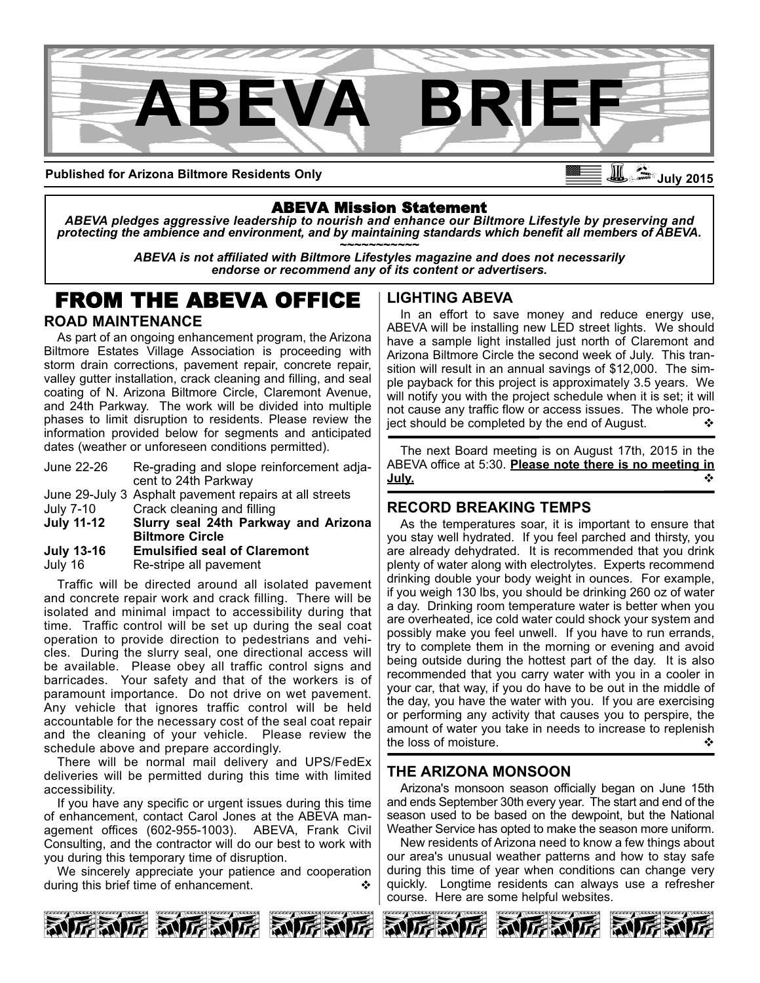

**Published for Arizona Biltmore Residents Only**

## ABEVA Mission Statement

*ABEVA pledges aggressive leadership to nourish and enhance our Biltmore Lifestyle by preserving and* protecting the ambience and environment, and by maintaining standards which benefit all members of ABEVA.<br>ABEVA is not affiliated with Biltmore Lifestyles magazine and does not necessarily

*endorse or recommend any of its content or advertisers.*

# FROM THE ABEVA OFFICE

#### **ROAD MAINTENANCE**

As part of an ongoing enhancement program, the Arizona Biltmore Estates Village Association is proceeding with storm drain corrections, pavement repair, concrete repair, valley gutter installation, crack cleaning and filling, and seal coating of N. Arizona Biltmore Circle, Claremont Avenue, and 24th Parkway. The work will be divided into multiple phases to limit disruption to residents. Please review the information provided below for segments and anticipated dates (weather or unforeseen conditions permitted).

| June 22-26 | Re-grading and slope reinforcement adja- |
|------------|------------------------------------------|
|            | cent to 24th Parkway                     |

June 29-July 3 Asphalt pavement repairs at all streets

July 7-10 Crack cleaning and filling<br>July 11-12 Slurry seal 24th Parkw

- **Slurry seal 24th Parkway and Arizona Biltmore Circle**
- **July 1316 Emulsified seal of Claremont**

July 16 Restripe all pavement

Traffic will be directed around all isolated pavement and concrete repair work and crack filling. There will be isolated and minimal impact to accessibility during that time. Traffic control will be set up during the seal coat operation to provide direction to pedestrians and vehicles. During the slurry seal, one directional access will be available. Please obey all traffic control signs and barricades. Your safety and that of the workers is of paramount importance. Do not drive on wet pavement. Any vehicle that ignores traffic control will be held accountable for the necessary cost of the seal coat repair and the cleaning of your vehicle. Please review the schedule above and prepare accordingly.

There will be normal mail delivery and UPS/FedEx deliveries will be permitted during this time with limited accessibility.

If you have any specific or urgent issues during this time of enhancement, contact Carol Jones at the ABEVA management offices (602-955-1003). ABEVA, Frank Civil Consulting, and the contractor will do our best to work with you during this temporary time of disruption.

We sincerely appreciate your patience and cooperation during this brief time of enhancement.

**LIGHTING ABEVA**

In an effort to save money and reduce energy use, ABEVA will be installing new LED street lights. We should have a sample light installed just north of Claremont and Arizona Biltmore Circle the second week of July. This transition will result in an annual savings of \$12,000. The simple payback for this project is approximately 3.5 years. We will notify you with the project schedule when it is set; it will not cause any traffic flow or access issues. The whole project should be completed by the end of August.  $\bullet$ 

The next Board meeting is on August 17th, 2015 in the ABEVA office at 5:30. **Please note there is no meeting in July. v** 

### **RECORD BREAKING TEMPS**

As the temperatures soar, it is important to ensure that you stay well hydrated. If you feel parched and thirsty, you are already dehydrated. It is recommended that you drink plenty of water along with electrolytes. Experts recommend drinking double your body weight in ounces. For example, if you weigh 130 lbs, you should be drinking 260 oz of water a day. Drinking room temperature water is better when you are overheated, ice cold water could shock your system and possibly make you feel unwell. If you have to run errands, try to complete them in the morning or evening and avoid being outside during the hottest part of the day. It is also recommended that you carry water with you in a cooler in your car, that way, if you do have to be out in the middle of the day, you have the water with you. If you are exercising or performing any activity that causes you to perspire, the amount of water you take in needs to increase to replenish the loss of moisture.  $\bullet$  →  $\bullet$  →  $\bullet$  →  $\bullet$  →  $\bullet$  →  $\bullet$  →  $\bullet$  →  $\bullet$  →  $\bullet$  →  $\bullet$  →  $\bullet$  →  $\bullet$  →  $\bullet$  →  $\bullet$  →  $\bullet$  →  $\bullet$  →  $\bullet$  →  $\bullet$  →  $\bullet$  →  $\bullet$  →  $\bullet$  →  $\bullet$  →  $\bullet$  →  $\bullet$  →  $\bullet$  →  $\bullet$  →  $\bullet$  →  $\bullet$  →  $\bullet$ 

### **THE ARIZONA MONSOON**

Arizona's monsoon season officially began on June 15th and ends September 30th every year. The start and end of the season used to be based on the dewpoint, but the National Weather Service has opted to make the season more uniform.

New residents of Arizona need to know a few things about our area's unusual weather patterns and how to stay safe during this time of year when conditions can change very quickly. Longtime residents can always use a refresher course. Here are some helpful websites.







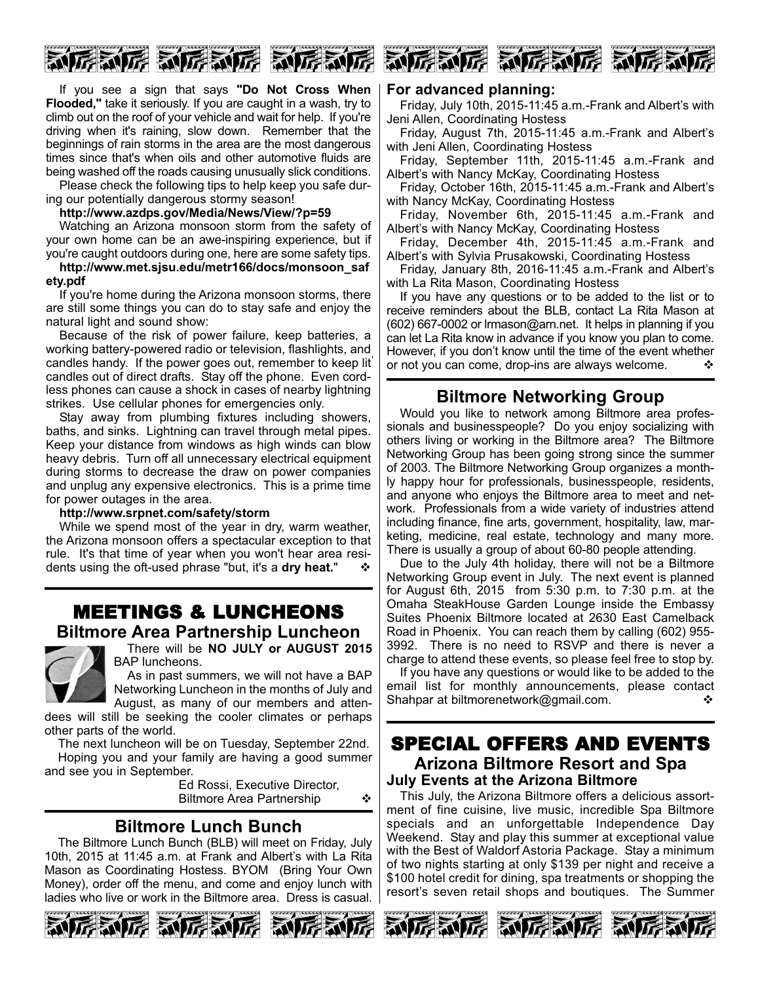

If you see a sign that says **"Do Not Cross When Flooded,"** take it seriously. If you are caught in a wash, try to climb out on the roof of your vehicle and wait for help. If you're driving when it's raining, slow down. Remember that the beginnings of rain storms in the area are the most dangerous times since that's when oils and other automotive fluids are being washed off the roads causing unusually slick conditions.

Please check the following tips to help keep you safe during our potentially dangerous stormy season!

#### **http://www.azdps.gov/Media/News/View/?p=59**

Watching an Arizona monsoon storm from the safety of your own home can be an awe-inspiring experience, but if you're caught outdoors during one, here are some safety tips.

**http://www.met.sjsu.edu/metr166/docs/monsoon\_saf ety.pdf**

If you're home during the Arizona monsoon storms, there are still some things you can do to stay safe and enjoy the natural light and sound show:

Because of the risk of power failure, keep batteries, a working battery-powered radio or television, flashlights, and candles handy. If the power goes out, remember to keep lit candles out of direct drafts. Stay off the phone. Even cordless phones can cause a shock in cases of nearby lightning strikes. Use cellular phones for emergencies only.

Stay away from plumbing fixtures including showers, baths, and sinks. Lightning can travel through metal pipes. Keep your distance from windows as high winds can blow heavy debris. Turn off all unnecessary electrical equipment during storms to decrease the draw on power companies and unplug any expensive electronics. This is a prime time for power outages in the area.

#### **http://www.srpnet.com/safety/storm**

While we spend most of the year in dry, warm weather, the Arizona monsoon offers a spectacular exception to that rule. It's that time of year when you won't hear area residents using the oft-used phrase "but, it's a dry heat."

## MEETINGS & LUNCHEONS **Biltmore Area Partnership Luncheon**



There will be **NO JULY or AUGUST 2015** BAP luncheons.

As in past summers, we will not have a BAP Networking Luncheon in the months of July and August, as many of our members and atten-

dees will still be seeking the cooler climates or perhaps other parts of the world.

The next luncheon will be on Tuesday, September 22nd. Hoping you and your family are having a good summer and see you in September.

Ed Rossi, Executive Director, Biltmore Area Partnership  $\cdot$ 

## **Biltmore Lunch Bunch**

The Biltmore Lunch Bunch (BLB) will meet on Friday, July 10th, 2015 at 11:45 a.m. at Frank and Albert's with La Rita Mason as Coordinating Hostess. BYOM (Bring Your Own Money), order off the menu, and come and enjoy lunch with ladies who live or work in the Biltmore area. Dress is casual.





#### **For advanced planning:**

Friday, July 10th, 2015-11:45 a.m.-Frank and Albert's with Jeni Allen, Coordinating Hostess

Friday, August 7th, 2015-11:45 a.m.-Frank and Albert's with Jeni Allen, Coordinating Hostess

Friday, September 11th, 2015-11:45 a.m.-Frank and Albert's with Nancy McKay, Coordinating Hostess

Friday, October 16th, 2015-11:45 a.m.-Frank and Albert's with Nancy McKay, Coordinating Hostess

Friday, November 6th, 2015-11:45 a.m.-Frank and Albert's with Nancy McKay, Coordinating Hostess

Friday, December 4th, 2015-11:45 a.m.-Frank and Albert's with Sylvia Prusakowski, Coordinating Hostess

Friday, January 8th, 2016-11:45 a.m.-Frank and Albert's with La Rita Mason, Coordinating Hostess

If you have any questions or to be added to the list or to receive reminders about the BLB, contact La Rita Mason at  $(602)$  667-0002 or lrmason@arn.net. It helps in planning if you can let La Rita know in advance if you know you plan to come. However, if you don't know until the time of the event whether or not you can come, drop-ins are always welcome.  $\cdot \cdot \cdot$ 

## **Biltmore Networking Group**

Would you like to network among Biltmore area professionals and businesspeople? Do you enjoy socializing with others living or working in the Biltmore area? The Biltmore Networking Group has been going strong since the summer of 2003. The Biltmore Networking Group organizes a monthly happy hour for professionals, businesspeople, residents, and anyone who enjoys the Biltmore area to meet and network. Professionals from a wide variety of industries attend including finance, fine arts, government, hospitality, law, marketing, medicine, real estate, technology and many more. There is usually a group of about 60-80 people attending.

Due to the July 4th holiday, there will not be a Biltmore Networking Group event in July. The next event is planned for August 6th, 2015 from 5:30 p.m. to 7:30 p.m. at the Omaha SteakHouse Garden Lounge inside the Embassy Suites Phoenix Biltmore located at 2630 East Camelback Road in Phoenix. You can reach them by calling (602) 955 3992. There is no need to RSVP and there is never a charge to attend these events, so please feel free to stop by.

If you have any questions or would like to be added to the email list for monthly announcements, please contact Shahpar at biltmorenetwork@gmail.com.  $\diamond$ 

## SPECIAL OFFERS AND EVENTS **Arizona Biltmore Resort and Spa July Events at the Arizona Biltmore**

This July, the Arizona Biltmore offers a delicious assortment of fine cuisine, live music, incredible Spa Biltmore specials and an unforgettable Independence Day Weekend. Stay and play this summer at exceptional value with the Best of Waldorf Astoria Package. Stay a minimum of two nights starting at only \$139 per night and receive a \$100 hotel credit for dining, spa treatments or shopping the resort's seven retail shops and boutiques. The Summer





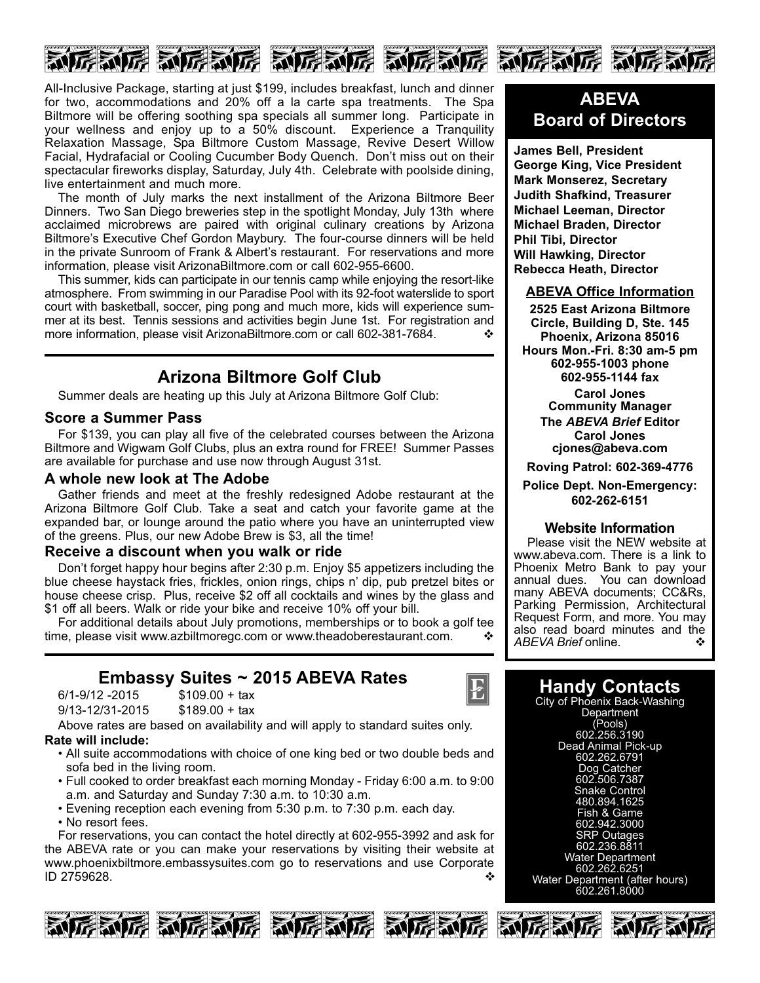

All-Inclusive Package, starting at just \$199, includes breakfast, lunch and dinner for two, accommodations and 20% off a la carte spa treatments. The Spa Biltmore will be offering soothing spa specials all summer long. Participate in your wellness and enjoy up to a 50% discount. Experience a Tranquility Relaxation Massage, Spa Biltmore Custom Massage, Revive Desert Willow Facial, Hydrafacial or Cooling Cucumber Body Quench. Don't miss out on their spectacular fireworks display, Saturday, July 4th. Celebrate with poolside dining, live entertainment and much more.

The month of July marks the next installment of the Arizona Biltmore Beer Dinners. Two San Diego breweries step in the spotlight Monday, July 13th where acclaimed microbrews are paired with original culinary creations by Arizona Biltmore's Executive Chef Gordon Maybury. The four-course dinners will be held in the private Sunroom of Frank & Albert's restaurant. For reservations and more information, please visit ArizonaBiltmore.com or call 602-955-6600.

This summer, kids can participate in our tennis camp while enjoying the resort-like atmosphere. From swimming in our Paradise Pool with its 92-foot waterslide to sport court with basketball, soccer, ping pong and much more, kids will experience summer at its best. Tennis sessions and activities begin June 1st. For registration and more information, please visit ArizonaBiltmore.com or call 602-381-7684.  $\cdot\cdot\cdot$ 

## **Arizona Biltmore Golf Club**

Summer deals are heating up this July at Arizona Biltmore Golf Club:

#### **Score a Summer Pass**

For \$139, you can play all five of the celebrated courses between the Arizona Biltmore and Wigwam Golf Clubs, plus an extra round for FREE! Summer Passes are available for purchase and use now through August 31st.

#### **A whole new look at The Adobe**

Gather friends and meet at the freshly redesigned Adobe restaurant at the Arizona Biltmore Golf Club. Take a seat and catch your favorite game at the expanded bar, or lounge around the patio where you have an uninterrupted view of the greens. Plus, our new Adobe Brew is \$3, all the time!

#### **Receive a discount when you walk or ride**

Don't forget happy hour begins after 2:30 p.m. Enjoy \$5 appetizers including the blue cheese haystack fries, frickles, onion rings, chips n' dip, pub pretzel bites or house cheese crisp. Plus, receive \$2 off all cocktails and wines by the glass and \$1 off all beers. Walk or ride your bike and receive 10% off your bill.

For additional details about July promotions, memberships or to book a golf tee time, please visit www.azbiltmoregc.com or www.theadoberestaurant.com.

## **Embassy Suites ~ 2015 ABEVA Rates**

| $6/1 - 9/12 - 2015$ | $$109.00 + tax$ |
|---------------------|-----------------|
| 9/13-12/31-2015     | $$189.00 + tax$ |

Above rates are based on availability and will apply to standard suites only. **Rate will include:**

- All suite accommodations with choice of one king bed or two double beds and
	- sofa bed in the living room. • Full cooked to order breakfast each morning Monday Friday 6:00 a.m. to 9:00
	- a.m. and Saturday and Sunday 7:30 a.m. to 10:30 a.m.
	- Evening reception each evening from 5:30 p.m. to 7:30 p.m. each day. • No resort fees.

For reservations, you can contact the hotel directly at 602-955-3992 and ask for the ABEVA rate or you can make your reservations by visiting their website at www.phoenixbiltmore.embassysuites.com go to reservations and use Corporate  $ID$  2759628.  $\bullet$ 







## **ABEVA Board of Directors**

**James Bell, President George King, Vice President Mark Monserez, Secretary Judith Shafkind, Treasurer Michael Leeman, Director Michael Braden, Director Phil Tibi, Director Will Hawking, Director Rebecca Heath, Director**

#### **ABEVA Office Information**

**2525 East Arizona Biltmore Circle, Building D, Ste. 145 Phoenix, Arizona 85016 Hours Mon.-Fri. 8:30 am-5 pm 6029551003 phone 6029551144 fax**

> **Carol Jones Community Manager The** *ABEVA Brief* **Editor Carol Jones**

**cjones@abeva.com**

**Roving Patrol: 6023694776**

**Police Dept. Non-Emergency: 6022626151**

#### **Website Information**

Please visit the NEW website at www.abeva.com. There is a link to Phoenix Metro Bank to pay your annual dues. You can download many ABEVA documents; CC&Rs, Parking Permission, Architectural Request Form, and more. You may also read board minutes and the *ABEVA Brief* online. ◆

## **Handy Contacts**

City of Phoenix Back-Washing **Department** (Pools) 602.256.3190 Dead Animal Pick-up 602.262.6791 Dog Catcher 602.506.7387 Snake Control 480.894.1625 Fish & Game 602.942.3000 SRP Outages 602.236.8811 Water Department 602.262.6251 Water Department (after hours) 602.261.8000